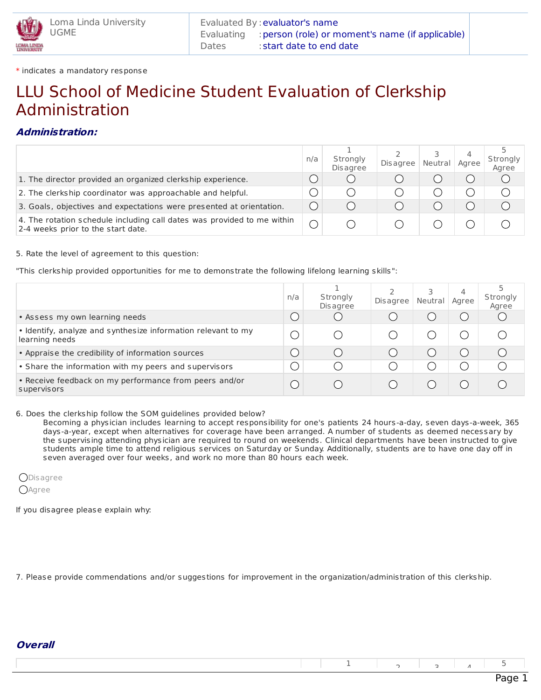

\* indicates a mandatory response

## LLU School of Medicine Student Evaluation of Clerkship Administration

## **Administration:**

|                                                                                                               | n/a | Strongly<br><b>Disagree</b> | Disagree | Neutral | 4<br>Agree | Strongly<br>Agree |
|---------------------------------------------------------------------------------------------------------------|-----|-----------------------------|----------|---------|------------|-------------------|
| 1. The director provided an organized clerkship experience.                                                   |     |                             |          |         |            |                   |
| 2. The clerkship coordinator was approachable and helpful.                                                    |     |                             |          |         |            |                   |
| 3. Goals, objectives and expectations were presented at orientation.                                          |     |                             |          |         |            |                   |
| 4. The rotation schedule including call dates was provided to me within<br>2-4 weeks prior to the start date. |     |                             |          |         |            |                   |

5. Rate the level of agreement to this question:

"This clerkship provided opportunities for me to demonstrate the following lifelong learning skills":

|                                                                                 | n/a | Strongly<br><b>Disagree</b> | <b>Disagree</b> | Neutral | 4<br>Aaree | Strongly<br>Agree |
|---------------------------------------------------------------------------------|-----|-----------------------------|-----------------|---------|------------|-------------------|
| • Assess my own learning needs                                                  |     |                             |                 |         |            |                   |
| • Identify, analyze and synthesize information relevant to my<br>learning needs |     |                             |                 |         |            |                   |
| • Appraise the credibility of information sources                               |     |                             |                 |         |            |                   |
| • Share the information with my peers and supervisors                           |     |                             |                 |         |            |                   |
| • Receive feedback on my performance from peers and/or<br>supervisors           |     |                             |                 |         |            |                   |

6. Does the clerkship follow the SOM guidelines provided below?

Becoming a physician includes learning to accept responsibility for one's patients 24 hours-a-day, seven days-a-week, 365 days-a-year, except when alternatives for coverage have been arranged. A number of students as deemed necessary by the supervising attending physician are required to round on weekends. Clinical departments have been instructed to give students ample time to attend religious services on Saturday or Sunday. Additionally, students are to have one day off in seven averaged over four weeks, and work no more than 80 hours each week.

**OD**isagree **O**Agree

If you disagree please explain why:

7. Please provide commendations and/or suggestions for improvement in the organization/administration of this clerkship.

|--|